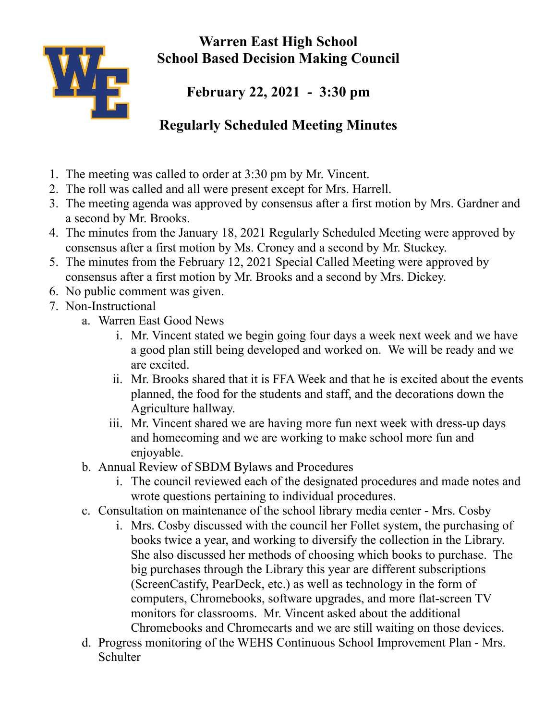

**Warren East High School School Based Decision Making Council**

**February 22, 2021 - 3:30 pm**

## **Regularly Scheduled Meeting Minutes**

- 1. The meeting was called to order at 3:30 pm by Mr. Vincent.
- 2. The roll was called and all were present except for Mrs. Harrell.
- 3. The meeting agenda was approved by consensus after a first motion by Mrs. Gardner and a second by Mr. Brooks.
- 4. The minutes from the January 18, 2021 Regularly Scheduled Meeting were approved by consensus after a first motion by Ms. Croney and a second by Mr. Stuckey.
- 5. The minutes from the February 12, 2021 Special Called Meeting were approved by consensus after a first motion by Mr. Brooks and a second by Mrs. Dickey.
- 6. No public comment was given.
- 7. Non-Instructional
	- a. Warren East Good News
		- i. Mr. Vincent stated we begin going four days a week next week and we have a good plan still being developed and worked on. We will be ready and we are excited.
		- ii. Mr. Brooks shared that it is FFA Week and that he is excited about the events planned, the food for the students and staff, and the decorations down the Agriculture hallway.
		- iii. Mr. Vincent shared we are having more fun next week with dress-up days and homecoming and we are working to make school more fun and enjoyable.
	- b. Annual Review of SBDM Bylaws and Procedures
		- i. The council reviewed each of the designated procedures and made notes and wrote questions pertaining to individual procedures.
	- c. Consultation on maintenance of the school library media center Mrs. Cosby
		- i. Mrs. Cosby discussed with the council her Follet system, the purchasing of books twice a year, and working to diversify the collection in the Library. She also discussed her methods of choosing which books to purchase. The big purchases through the Library this year are different subscriptions (ScreenCastify, PearDeck, etc.) as well as technology in the form of computers, Chromebooks, software upgrades, and more flat-screen TV monitors for classrooms. Mr. Vincent asked about the additional Chromebooks and Chromecarts and we are still waiting on those devices.
	- d. Progress monitoring of the WEHS Continuous School Improvement Plan Mrs. **Schulter**